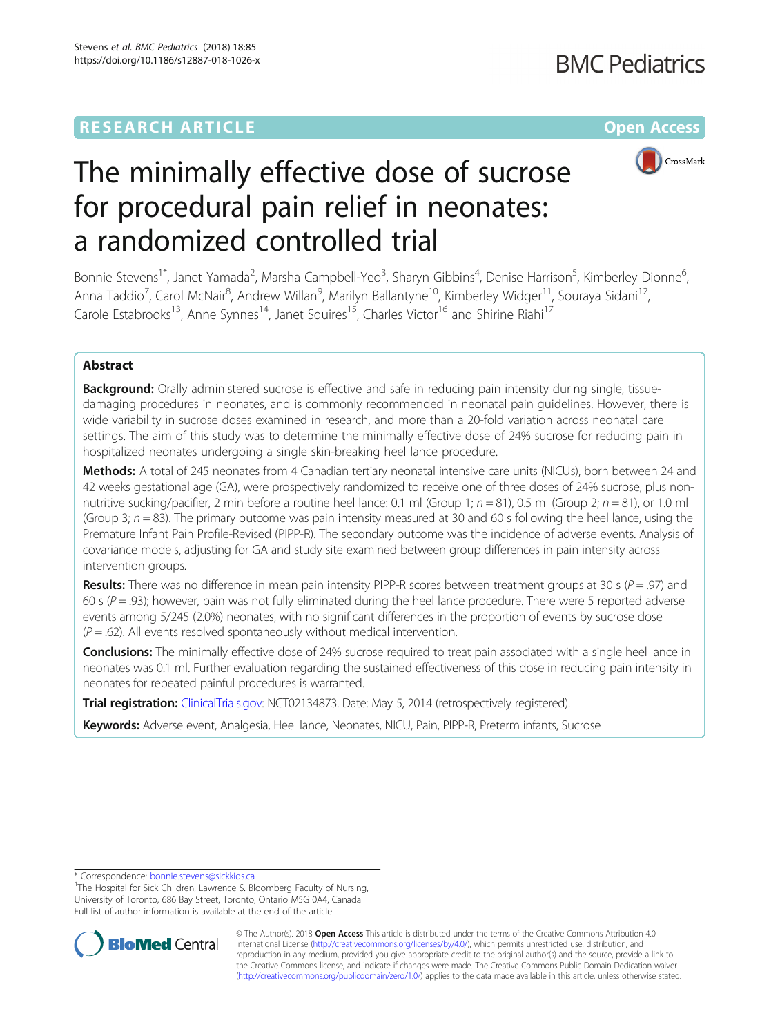# **RESEARCH ARTICLE Example 2018 12:00 Department of the CONNECTION CONNECTION CONNECTION CONNECTION CONNECTION**



# The minimally effective dose of sucrose for procedural pain relief in neonates: a randomized controlled trial

Bonnie Stevens<sup>1\*</sup>, Janet Yamada<sup>2</sup>, Marsha Campbell-Yeo<sup>3</sup>, Sharyn Gibbins<sup>4</sup>, Denise Harrison<sup>5</sup>, Kimberley Dionne<sup>6</sup> , Anna Taddio<sup>7</sup>, Carol McNair<sup>8</sup>, Andrew Willan<sup>9</sup>, Marilyn Ballantyne<sup>10</sup>, Kimberley Widger<sup>11</sup>, Souraya Sidani<sup>12</sup>, Carole Estabrooks<sup>13</sup>, Anne Synnes<sup>14</sup>, Janet Squires<sup>15</sup>, Charles Victor<sup>16</sup> and Shirine Riahi<sup>17</sup>

# Abstract

**Background:** Orally administered sucrose is effective and safe in reducing pain intensity during single, tissuedamaging procedures in neonates, and is commonly recommended in neonatal pain guidelines. However, there is wide variability in sucrose doses examined in research, and more than a 20-fold variation across neonatal care settings. The aim of this study was to determine the minimally effective dose of 24% sucrose for reducing pain in hospitalized neonates undergoing a single skin-breaking heel lance procedure.

Methods: A total of 245 neonates from 4 Canadian tertiary neonatal intensive care units (NICUs), born between 24 and 42 weeks gestational age (GA), were prospectively randomized to receive one of three doses of 24% sucrose, plus nonnutritive sucking/pacifier, 2 min before a routine heel lance: 0.1 ml (Group 1;  $n = 81$ ), 0.5 ml (Group 2;  $n = 81$ ), or 1.0 ml (Group 3;  $n = 83$ ). The primary outcome was pain intensity measured at 30 and 60 s following the heel lance, using the Premature Infant Pain Profile-Revised (PIPP-R). The secondary outcome was the incidence of adverse events. Analysis of covariance models, adjusting for GA and study site examined between group differences in pain intensity across intervention groups.

Results: There was no difference in mean pain intensity PIPP-R scores between treatment groups at 30 s ( $P = .97$ ) and 60 s ( $P = .93$ ); however, pain was not fully eliminated during the heel lance procedure. There were 5 reported adverse events among 5/245 (2.0%) neonates, with no significant differences in the proportion of events by sucrose dose  $(P = .62)$ . All events resolved spontaneously without medical intervention.

**Conclusions:** The minimally effective dose of 24% sucrose required to treat pain associated with a single heel lance in neonates was 0.1 ml. Further evaluation regarding the sustained effectiveness of this dose in reducing pain intensity in neonates for repeated painful procedures is warranted.

**Trial registration:** [ClinicalTrials.gov](http://clinicaltrials.gov/NCT02134873): NCT02134873. Date: May 5, 2014 (retrospectively registered).

Keywords: Adverse event, Analgesia, Heel lance, Neonates, NICU, Pain, PIPP-R, Preterm infants, Sucrose

\* Correspondence: [bonnie.stevens@sickkids.ca](mailto:bonnie.stevens@sickkids.ca) <sup>1</sup>

<sup>1</sup>The Hospital for Sick Children, Lawrence S. Bloomberg Faculty of Nursing, University of Toronto, 686 Bay Street, Toronto, Ontario M5G 0A4, Canada Full list of author information is available at the end of the article



© The Author(s). 2018 Open Access This article is distributed under the terms of the Creative Commons Attribution 4.0 International License [\(http://creativecommons.org/licenses/by/4.0/](http://creativecommons.org/licenses/by/4.0/)), which permits unrestricted use, distribution, and reproduction in any medium, provided you give appropriate credit to the original author(s) and the source, provide a link to the Creative Commons license, and indicate if changes were made. The Creative Commons Public Domain Dedication waiver [\(http://creativecommons.org/publicdomain/zero/1.0/](http://creativecommons.org/publicdomain/zero/1.0/)) applies to the data made available in this article, unless otherwise stated.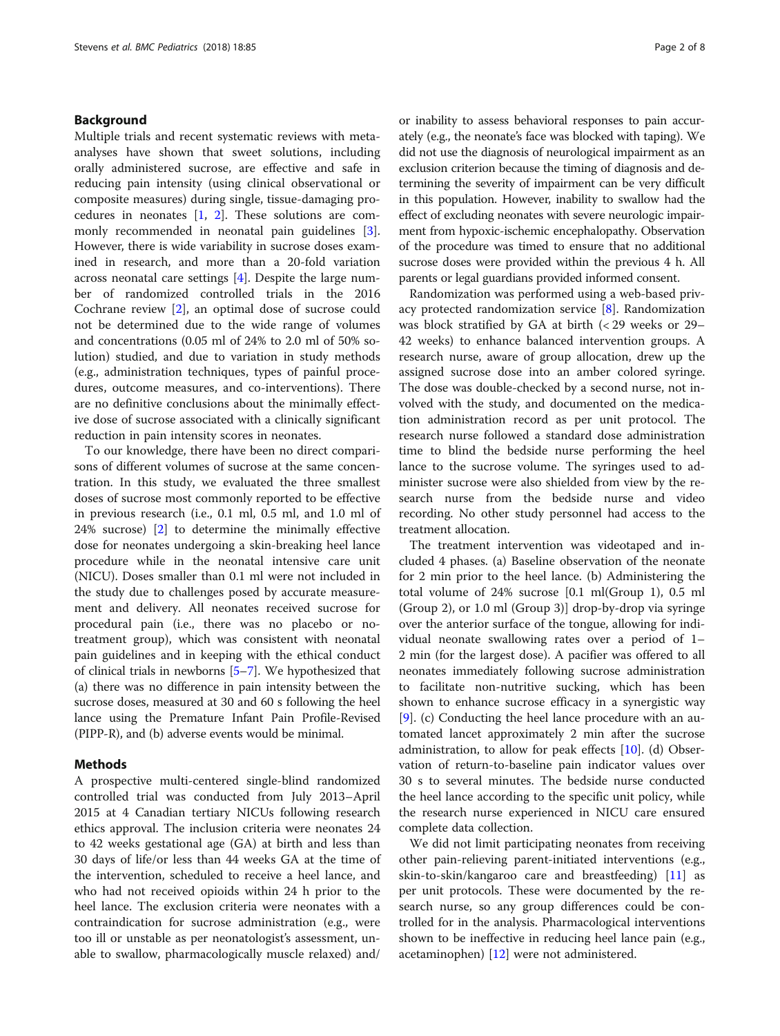# Background

Multiple trials and recent systematic reviews with metaanalyses have shown that sweet solutions, including orally administered sucrose, are effective and safe in reducing pain intensity (using clinical observational or composite measures) during single, tissue-damaging procedures in neonates [\[1](#page-7-0), [2\]](#page-7-0). These solutions are com-monly recommended in neonatal pain guidelines [\[3](#page-7-0)]. However, there is wide variability in sucrose doses examined in research, and more than a 20-fold variation across neonatal care settings [\[4](#page-7-0)]. Despite the large number of randomized controlled trials in the 2016 Cochrane review [\[2](#page-7-0)], an optimal dose of sucrose could not be determined due to the wide range of volumes and concentrations (0.05 ml of 24% to 2.0 ml of 50% solution) studied, and due to variation in study methods (e.g., administration techniques, types of painful procedures, outcome measures, and co-interventions). There are no definitive conclusions about the minimally effective dose of sucrose associated with a clinically significant reduction in pain intensity scores in neonates.

To our knowledge, there have been no direct comparisons of different volumes of sucrose at the same concentration. In this study, we evaluated the three smallest doses of sucrose most commonly reported to be effective in previous research (i.e., 0.1 ml, 0.5 ml, and 1.0 ml of 24% sucrose) [\[2](#page-7-0)] to determine the minimally effective dose for neonates undergoing a skin-breaking heel lance procedure while in the neonatal intensive care unit (NICU). Doses smaller than 0.1 ml were not included in the study due to challenges posed by accurate measurement and delivery. All neonates received sucrose for procedural pain (i.e., there was no placebo or notreatment group), which was consistent with neonatal pain guidelines and in keeping with the ethical conduct of clinical trials in newborns [\[5](#page-7-0)–[7\]](#page-7-0). We hypothesized that (a) there was no difference in pain intensity between the sucrose doses, measured at 30 and 60 s following the heel lance using the Premature Infant Pain Profile-Revised (PIPP-R), and (b) adverse events would be minimal.

#### Methods

A prospective multi-centered single-blind randomized controlled trial was conducted from July 2013–April 2015 at 4 Canadian tertiary NICUs following research ethics approval. The inclusion criteria were neonates 24 to 42 weeks gestational age (GA) at birth and less than 30 days of life/or less than 44 weeks GA at the time of the intervention, scheduled to receive a heel lance, and who had not received opioids within 24 h prior to the heel lance. The exclusion criteria were neonates with a contraindication for sucrose administration (e.g., were too ill or unstable as per neonatologist's assessment, unable to swallow, pharmacologically muscle relaxed) and/ or inability to assess behavioral responses to pain accurately (e.g., the neonate's face was blocked with taping). We did not use the diagnosis of neurological impairment as an exclusion criterion because the timing of diagnosis and determining the severity of impairment can be very difficult in this population. However, inability to swallow had the effect of excluding neonates with severe neurologic impairment from hypoxic-ischemic encephalopathy. Observation of the procedure was timed to ensure that no additional sucrose doses were provided within the previous 4 h. All parents or legal guardians provided informed consent.

Randomization was performed using a web-based privacy protected randomization service [[8](#page-7-0)]. Randomization was block stratified by GA at birth (< 29 weeks or 29– 42 weeks) to enhance balanced intervention groups. A research nurse, aware of group allocation, drew up the assigned sucrose dose into an amber colored syringe. The dose was double-checked by a second nurse, not involved with the study, and documented on the medication administration record as per unit protocol. The research nurse followed a standard dose administration time to blind the bedside nurse performing the heel lance to the sucrose volume. The syringes used to administer sucrose were also shielded from view by the research nurse from the bedside nurse and video recording. No other study personnel had access to the treatment allocation.

The treatment intervention was videotaped and included 4 phases. (a) Baseline observation of the neonate for 2 min prior to the heel lance. (b) Administering the total volume of 24% sucrose [0.1 ml(Group 1), 0.5 ml (Group 2), or 1.0 ml (Group 3)] drop-by-drop via syringe over the anterior surface of the tongue, allowing for individual neonate swallowing rates over a period of 1– 2 min (for the largest dose). A pacifier was offered to all neonates immediately following sucrose administration to facilitate non-nutritive sucking, which has been shown to enhance sucrose efficacy in a synergistic way [[9\]](#page-7-0). (c) Conducting the heel lance procedure with an automated lancet approximately 2 min after the sucrose administration, to allow for peak effects  $[10]$  $[10]$ . (d) Observation of return-to-baseline pain indicator values over 30 s to several minutes. The bedside nurse conducted the heel lance according to the specific unit policy, while the research nurse experienced in NICU care ensured complete data collection.

We did not limit participating neonates from receiving other pain-relieving parent-initiated interventions (e.g., skin-to-skin/kangaroo care and breastfeeding) [\[11](#page-7-0)] as per unit protocols. These were documented by the research nurse, so any group differences could be controlled for in the analysis. Pharmacological interventions shown to be ineffective in reducing heel lance pain (e.g., acetaminophen) [\[12](#page-7-0)] were not administered.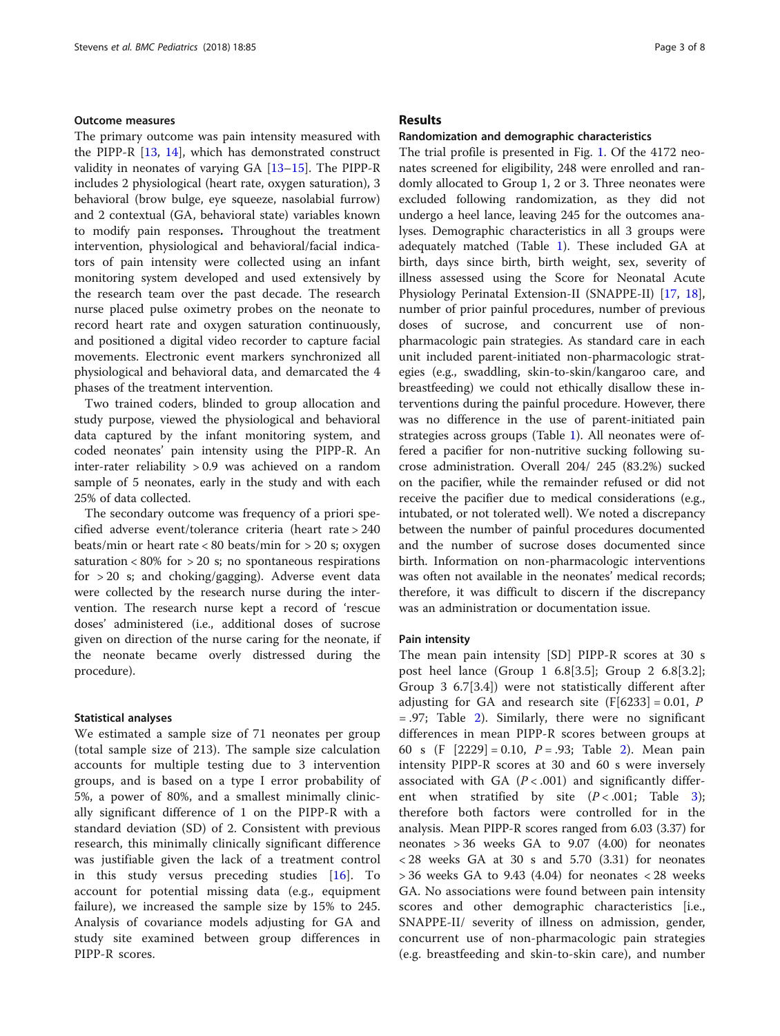#### Outcome measures

The primary outcome was pain intensity measured with the PIPP-R [\[13](#page-7-0), [14](#page-7-0)], which has demonstrated construct validity in neonates of varying GA [[13](#page-7-0)–[15\]](#page-7-0). The PIPP-R includes 2 physiological (heart rate, oxygen saturation), 3 behavioral (brow bulge, eye squeeze, nasolabial furrow) and 2 contextual (GA, behavioral state) variables known to modify pain responses. Throughout the treatment intervention, physiological and behavioral/facial indicators of pain intensity were collected using an infant monitoring system developed and used extensively by the research team over the past decade. The research nurse placed pulse oximetry probes on the neonate to record heart rate and oxygen saturation continuously, and positioned a digital video recorder to capture facial movements. Electronic event markers synchronized all physiological and behavioral data, and demarcated the 4 phases of the treatment intervention.

Two trained coders, blinded to group allocation and study purpose, viewed the physiological and behavioral data captured by the infant monitoring system, and coded neonates' pain intensity using the PIPP-R. An inter-rater reliability > 0.9 was achieved on a random sample of 5 neonates, early in the study and with each 25% of data collected.

The secondary outcome was frequency of a priori specified adverse event/tolerance criteria (heart rate > 240 beats/min or heart rate < 80 beats/min for > 20 s; oxygen saturation  $< 80\%$  for  $> 20$  s; no spontaneous respirations for > 20 s; and choking/gagging). Adverse event data were collected by the research nurse during the intervention. The research nurse kept a record of 'rescue doses' administered (i.e., additional doses of sucrose given on direction of the nurse caring for the neonate, if the neonate became overly distressed during the procedure).

#### Statistical analyses

We estimated a sample size of 71 neonates per group (total sample size of 213). The sample size calculation accounts for multiple testing due to 3 intervention groups, and is based on a type I error probability of 5%, a power of 80%, and a smallest minimally clinically significant difference of 1 on the PIPP-R with a standard deviation (SD) of 2. Consistent with previous research, this minimally clinically significant difference was justifiable given the lack of a treatment control in this study versus preceding studies [\[16](#page-7-0)]. To account for potential missing data (e.g., equipment failure), we increased the sample size by 15% to 245. Analysis of covariance models adjusting for GA and study site examined between group differences in PIPP-R scores.

# Results

#### Randomization and demographic characteristics

The trial profile is presented in Fig. [1](#page-3-0). Of the 4172 neonates screened for eligibility, 248 were enrolled and randomly allocated to Group 1, 2 or 3. Three neonates were excluded following randomization, as they did not undergo a heel lance, leaving 245 for the outcomes analyses. Demographic characteristics in all 3 groups were adequately matched (Table [1](#page-3-0)). These included GA at birth, days since birth, birth weight, sex, severity of illness assessed using the Score for Neonatal Acute Physiology Perinatal Extension-II (SNAPPE-II) [\[17](#page-7-0), [18](#page-7-0)], number of prior painful procedures, number of previous doses of sucrose, and concurrent use of nonpharmacologic pain strategies. As standard care in each unit included parent-initiated non-pharmacologic strategies (e.g., swaddling, skin-to-skin/kangaroo care, and breastfeeding) we could not ethically disallow these interventions during the painful procedure. However, there was no difference in the use of parent-initiated pain strategies across groups (Table [1](#page-3-0)). All neonates were offered a pacifier for non-nutritive sucking following sucrose administration. Overall 204/ 245 (83.2%) sucked on the pacifier, while the remainder refused or did not receive the pacifier due to medical considerations (e.g., intubated, or not tolerated well). We noted a discrepancy between the number of painful procedures documented and the number of sucrose doses documented since birth. Information on non-pharmacologic interventions was often not available in the neonates' medical records; therefore, it was difficult to discern if the discrepancy was an administration or documentation issue.

### Pain intensity

The mean pain intensity [SD] PIPP-R scores at 30 s post heel lance (Group 1 6.8[3.5]; Group 2 6.8[3.2]; Group 3 6.7[3.4]) were not statistically different after adjusting for GA and research site  $(F[6233] = 0.01, P)$  $= .97$ ; Table [2](#page-4-0)). Similarly, there were no significant differences in mean PIPP-R scores between groups at 60 s (F  $[2229] = 0.10$ ,  $P = .93$ ; Table [2\)](#page-4-0). Mean pain intensity PIPP-R scores at 30 and 60 s were inversely associated with GA  $(P < .001)$  and significantly different when stratified by site  $(P < .001;$  Table [3](#page-4-0)); therefore both factors were controlled for in the analysis. Mean PIPP-R scores ranged from 6.03 (3.37) for neonates  $> 36$  weeks GA to 9.07 (4.00) for neonates  $\langle 28 \rangle$  weeks GA at 30 s and 5.70 (3.31) for neonates  $>$  36 weeks GA to 9.43 (4.04) for neonates  $<$  28 weeks GA. No associations were found between pain intensity scores and other demographic characteristics [i.e., SNAPPE-II/ severity of illness on admission, gender, concurrent use of non-pharmacologic pain strategies (e.g. breastfeeding and skin-to-skin care), and number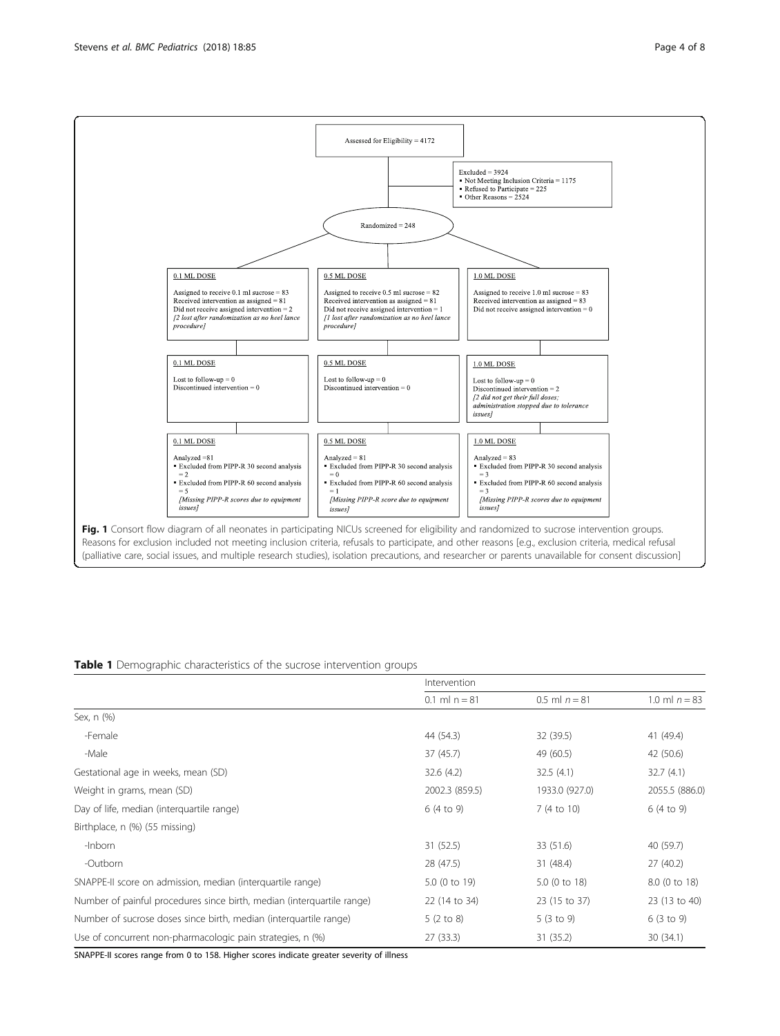<span id="page-3-0"></span>

(palliative care, social issues, and multiple research studies), isolation precautions, and researcher or parents unavailable for consent discussion]

# Table 1 Demographic characteristics of the sucrose intervention groups

|                                                                        | Intervention         |                      |                 |
|------------------------------------------------------------------------|----------------------|----------------------|-----------------|
|                                                                        | $0.1$ ml $n = 81$    | 0.5 ml $n = 81$      | 1.0 ml $n = 83$ |
| Sex, n (%)                                                             |                      |                      |                 |
| -Female                                                                | 44 (54.3)            | 32 (39.5)            | 41 (49.4)       |
| -Male                                                                  | 37(45.7)             | 49 (60.5)            | 42 (50.6)       |
| Gestational age in weeks, mean (SD)                                    | 32.6(4.2)            | 32.5(4.1)            | 32.7(4.1)       |
| Weight in grams, mean (SD)                                             | 2002.3 (859.5)       | 1933.0 (927.0)       | 2055.5 (886.0)  |
| Day of life, median (interquartile range)                              | 6(4 to 9)            | 7 (4 to 10)          | 6(4 to 9)       |
| Birthplace, n (%) (55 missing)                                         |                      |                      |                 |
| -Inborn                                                                | 31(52.5)             | 33 (51.6)            | 40 (59.7)       |
| -Outborn                                                               | 28 (47.5)            | 31 (48.4)            | 27 (40.2)       |
| SNAPPE-II score on admission, median (interguartile range)             | 5.0 (0 to 19)        | 5.0 (0 to 18)        | 8.0 (0 to 18)   |
| Number of painful procedures since birth, median (interquartile range) | 22 (14 to 34)        | 23 (15 to 37)        | 23 (13 to 40)   |
| Number of sucrose doses since birth, median (interquartile range)      | $5(2 \text{ to } 8)$ | $5(3 \text{ to } 9)$ | 6(3 to 9)       |
| Use of concurrent non-pharmacologic pain strategies, n (%)             | 27(33.3)             | 31 (35.2)            | 30(34.1)        |

SNAPPE-II scores range from 0 to 158. Higher scores indicate greater severity of illness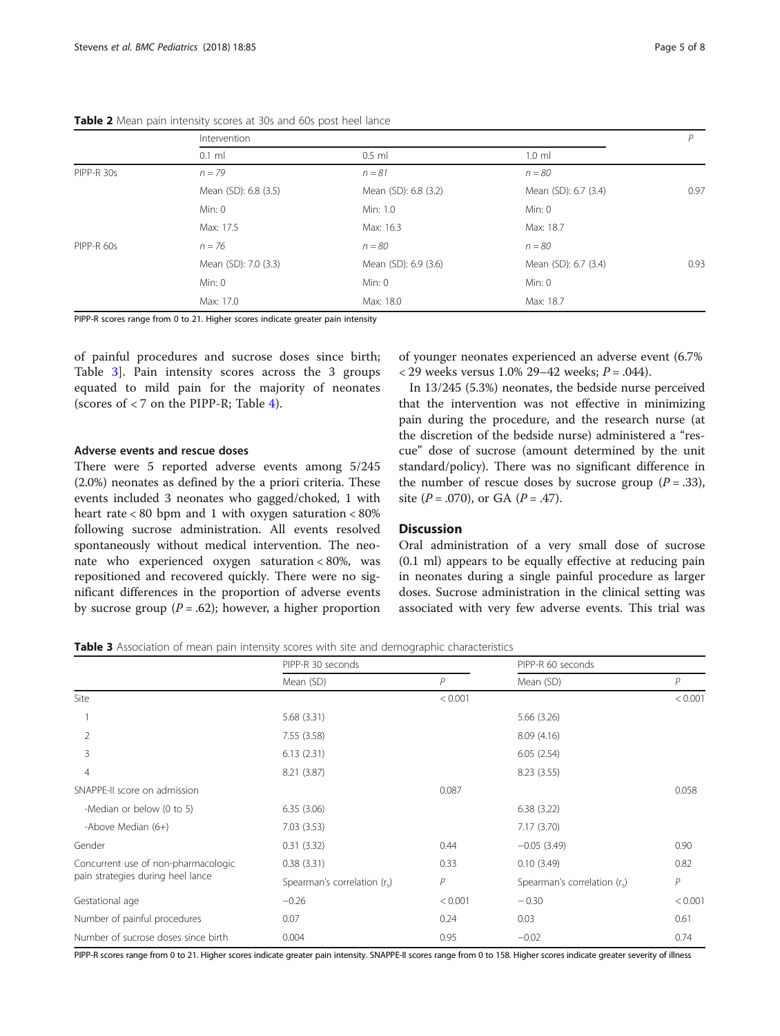|            | Intervention         |                      |                      | P    |
|------------|----------------------|----------------------|----------------------|------|
|            | $0.1$ ml             | $0.5$ ml             | $1.0 \text{ ml}$     |      |
| PIPP-R 30s | $n = 79$             | $n = 81$             | $n = 80$             |      |
|            | Mean (SD): 6.8 (3.5) | Mean (SD): 6.8 (3.2) | Mean (SD): 6.7 (3.4) | 0.97 |
|            | Min: 0               | Min: 1.0             | Min: 0               |      |
|            | Max: 17.5            | Max: 16.3            | Max: 18.7            |      |
| PIPP-R 60s | $n = 76$             | $n = 80$             | $n = 80$             |      |
|            | Mean (SD): 7.0 (3.3) | Mean (SD): 6.9 (3.6) | Mean (SD): 6.7 (3.4) | 0.93 |
|            | Min: 0               | Min: 0               | Min: 0               |      |
|            | Max: 17.0            | Max: 18.0            | Max: 18.7            |      |

<span id="page-4-0"></span>Table 2 Mean pain intensity scores at 30s and 60s post heel lance

PIPP-R scores range from 0 to 21. Higher scores indicate greater pain intensity

of painful procedures and sucrose doses since birth; Table 3]. Pain intensity scores across the 3 groups equated to mild pain for the majority of neonates (scores of  $<$  7 on the PIPP-R; Table [4](#page-5-0)).

# Adverse events and rescue doses

There were 5 reported adverse events among 5/245 (2.0%) neonates as defined by the a priori criteria. These events included 3 neonates who gagged/choked, 1 with heart rate  $< 80$  bpm and 1 with oxygen saturation  $< 80\%$ following sucrose administration. All events resolved spontaneously without medical intervention. The neonate who experienced oxygen saturation < 80%, was repositioned and recovered quickly. There were no significant differences in the proportion of adverse events by sucrose group ( $P = .62$ ); however, a higher proportion

of younger neonates experienced an adverse event (6.7%  $<$  29 weeks versus 1.0% 29–42 weeks;  $P = .044$ ).

In 13/245 (5.3%) neonates, the bedside nurse perceived that the intervention was not effective in minimizing pain during the procedure, and the research nurse (at the discretion of the bedside nurse) administered a "rescue" dose of sucrose (amount determined by the unit standard/policy). There was no significant difference in the number of rescue doses by sucrose group  $(P=.33)$ , site  $(P = .070)$ , or GA  $(P = .47)$ .

# Discussion

Oral administration of a very small dose of sucrose (0.1 ml) appears to be equally effective at reducing pain in neonates during a single painful procedure as larger doses. Sucrose administration in the clinical setting was associated with very few adverse events. This trial was

| Table 3 Association of mean pain intensity scores with site and demographic characteristics |  |  |  |
|---------------------------------------------------------------------------------------------|--|--|--|
|---------------------------------------------------------------------------------------------|--|--|--|

|                                     | PIPP-R 30 seconds           |         | PIPP-R 60 seconds           |              |
|-------------------------------------|-----------------------------|---------|-----------------------------|--------------|
|                                     | Mean (SD)                   | P       | Mean (SD)                   | $\mathcal P$ |
| Site                                |                             | < 0.001 |                             | < 0.001      |
|                                     | 5.68(3.31)                  |         | 5.66(3.26)                  |              |
| $\overline{2}$                      | 7.55 (3.58)                 |         | 8.09(4.16)                  |              |
| 3                                   | 6.13(2.31)                  |         | 6.05(2.54)                  |              |
| $\overline{4}$                      | 8.21 (3.87)                 |         | 8.23(3.55)                  |              |
| SNAPPE-II score on admission        |                             | 0.087   |                             | 0.058        |
| -Median or below (0 to 5)           | 6.35(3.06)                  |         | 6.38(3.22)                  |              |
| -Above Median (6+)                  | 7.03(3.53)                  |         | 7.17 (3.70)                 |              |
| Gender                              | 0.31(3.32)                  | 0.44    | $-0.05(3.49)$               | 0.90         |
| Concurrent use of non-pharmacologic | 0.38(3.31)                  | 0.33    | 0.10(3.49)                  | 0.82         |
| pain strategies during heel lance   | Spearman's correlation (r.) | P       | Spearman's correlation (r.) | $\mathcal P$ |
| Gestational age                     | $-0.26$                     | < 0.001 | $-0.30$                     | < 0.001      |
| Number of painful procedures        | 0.07                        | 0.24    | 0.03                        | 0.61         |
| Number of sucrose doses since birth | 0.004                       | 0.95    | $-0.02$                     | 0.74         |

PIPP-R scores range from 0 to 21. Higher scores indicate greater pain intensity. SNAPPE-II scores range from 0 to 158. Higher scores indicate greater severity of illness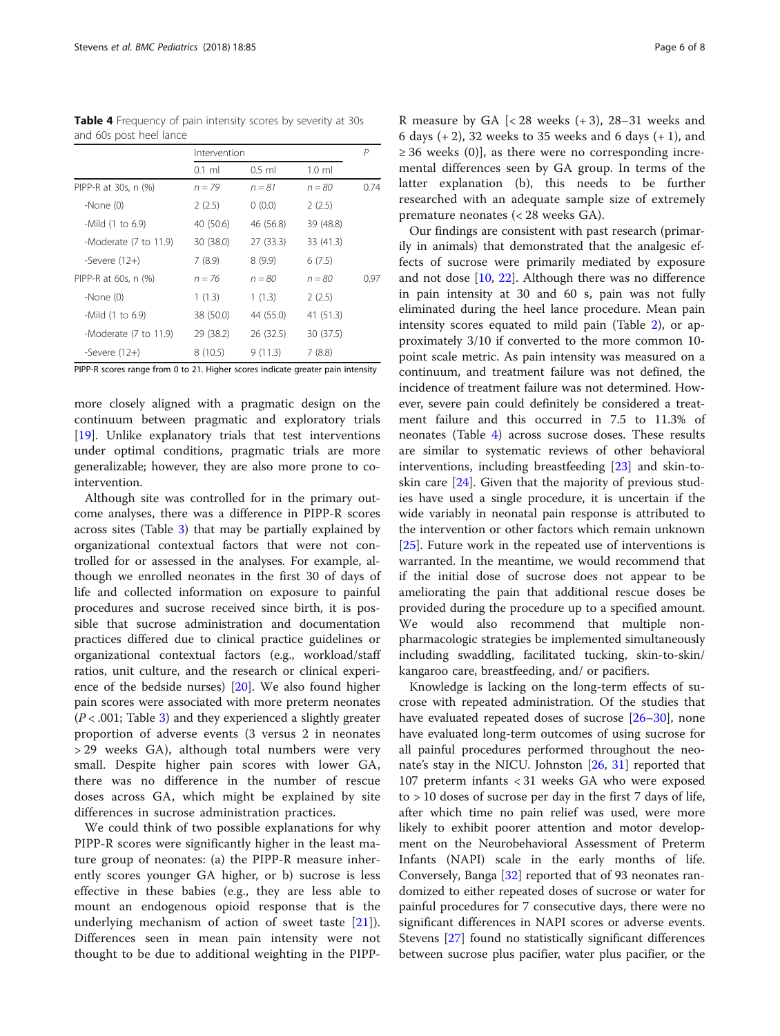<span id="page-5-0"></span>Table 4 Frequency of pain intensity scores by severity at 30s and 60s post heel lance

|                           | Intervention |           |           | P    |
|---------------------------|--------------|-----------|-----------|------|
|                           | $0.1$ ml     | $0.5$ ml  | $1.0$ ml  |      |
| PIPP-R at 30s, n (%)      | $n = 79$     | $n = 81$  | $n = 80$  | 0.74 |
| -None $(0)$               | 2(2.5)       | 0(0.0)    | 2(2.5)    |      |
| -Mild (1 to 6.9)          | 40 (50.6)    | 46 (56.8) | 39 (48.8) |      |
| -Moderate $(7$ to $11.9)$ | 30 (38.0)    | 27(33.3)  | 33 (41.3) |      |
| -Severe $(12+)$           | 7(8.9)       | 8(9.9)    | 6(7.5)    |      |
| PIPP-R at 60s, n (%)      | $n = 76$     | $n = 80$  | $n = 80$  | 0.97 |
| -None $(0)$               | 1(1.3)       | 1(1.3)    | 2(2.5)    |      |
| -Mild (1 to 6.9)          | 38 (50.0)    | 44 (55.0) | 41 (51.3) |      |
| -Moderate $(7$ to $11.9)$ | 29 (38.2)    | 26 (32.5) | 30 (37.5) |      |
| -Severe $(12+)$           | 8(10.5)      | 9(11.3)   | 7(8.8)    |      |

PIPP-R scores range from 0 to 21. Higher scores indicate greater pain intensity

more closely aligned with a pragmatic design on the continuum between pragmatic and exploratory trials [[19\]](#page-7-0). Unlike explanatory trials that test interventions under optimal conditions, pragmatic trials are more generalizable; however, they are also more prone to cointervention.

Although site was controlled for in the primary outcome analyses, there was a difference in PIPP-R scores across sites (Table [3\)](#page-4-0) that may be partially explained by organizational contextual factors that were not controlled for or assessed in the analyses. For example, although we enrolled neonates in the first 30 of days of life and collected information on exposure to painful procedures and sucrose received since birth, it is possible that sucrose administration and documentation practices differed due to clinical practice guidelines or organizational contextual factors (e.g., workload/staff ratios, unit culture, and the research or clinical experience of the bedside nurses) [\[20](#page-7-0)]. We also found higher pain scores were associated with more preterm neonates  $(P < .001$ ; Table [3](#page-4-0)) and they experienced a slightly greater proportion of adverse events (3 versus 2 in neonates > 29 weeks GA), although total numbers were very small. Despite higher pain scores with lower GA, there was no difference in the number of rescue doses across GA, which might be explained by site differences in sucrose administration practices.

We could think of two possible explanations for why PIPP-R scores were significantly higher in the least mature group of neonates: (a) the PIPP-R measure inherently scores younger GA higher, or b) sucrose is less effective in these babies (e.g., they are less able to mount an endogenous opioid response that is the underlying mechanism of action of sweet taste [[21\]](#page-7-0)). Differences seen in mean pain intensity were not thought to be due to additional weighting in the PIPP-

R measure by GA  $\left[ < 28 \right]$  weeks  $(+ 3)$ , 28-31 weeks and 6 days  $(+ 2)$ , 32 weeks to 35 weeks and 6 days  $(+ 1)$ , and  $\geq$  36 weeks (0)], as there were no corresponding incremental differences seen by GA group. In terms of the latter explanation (b), this needs to be further researched with an adequate sample size of extremely premature neonates (< 28 weeks GA).

Our findings are consistent with past research (primarily in animals) that demonstrated that the analgesic effects of sucrose were primarily mediated by exposure and not dose [\[10](#page-7-0), [22\]](#page-7-0). Although there was no difference in pain intensity at 30 and 60 s, pain was not fully eliminated during the heel lance procedure. Mean pain intensity scores equated to mild pain (Table [2](#page-4-0)), or approximately 3/10 if converted to the more common 10 point scale metric. As pain intensity was measured on a continuum, and treatment failure was not defined, the incidence of treatment failure was not determined. However, severe pain could definitely be considered a treatment failure and this occurred in 7.5 to 11.3% of neonates (Table 4) across sucrose doses. These results are similar to systematic reviews of other behavioral interventions, including breastfeeding [[23](#page-7-0)] and skin-toskin care  $[24]$  $[24]$ . Given that the majority of previous studies have used a single procedure, it is uncertain if the wide variably in neonatal pain response is attributed to the intervention or other factors which remain unknown [[25\]](#page-7-0). Future work in the repeated use of interventions is warranted. In the meantime, we would recommend that if the initial dose of sucrose does not appear to be ameliorating the pain that additional rescue doses be provided during the procedure up to a specified amount. We would also recommend that multiple nonpharmacologic strategies be implemented simultaneously including swaddling, facilitated tucking, skin-to-skin/ kangaroo care, breastfeeding, and/ or pacifiers.

Knowledge is lacking on the long-term effects of sucrose with repeated administration. Of the studies that have evaluated repeated doses of sucrose [\[26](#page-7-0)–[30](#page-7-0)], none have evaluated long-term outcomes of using sucrose for all painful procedures performed throughout the neonate's stay in the NICU. Johnston [[26,](#page-7-0) [31](#page-7-0)] reported that 107 preterm infants < 31 weeks GA who were exposed to > 10 doses of sucrose per day in the first 7 days of life, after which time no pain relief was used, were more likely to exhibit poorer attention and motor development on the Neurobehavioral Assessment of Preterm Infants (NAPI) scale in the early months of life. Conversely, Banga [[32\]](#page-7-0) reported that of 93 neonates randomized to either repeated doses of sucrose or water for painful procedures for 7 consecutive days, there were no significant differences in NAPI scores or adverse events. Stevens [\[27](#page-7-0)] found no statistically significant differences between sucrose plus pacifier, water plus pacifier, or the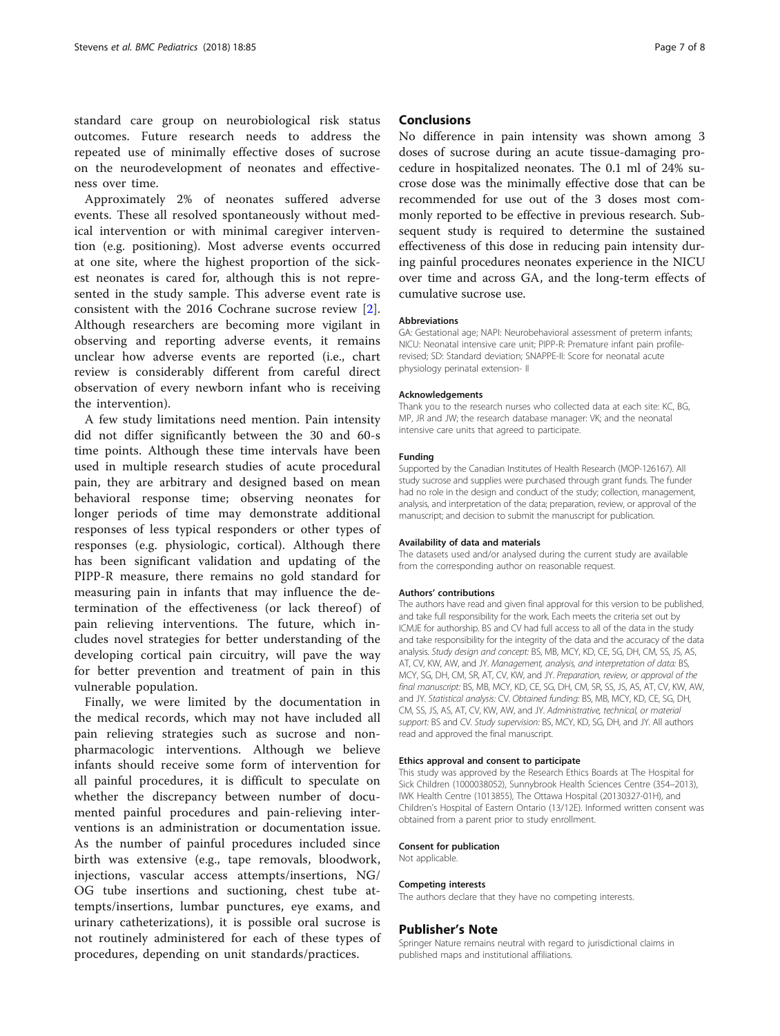standard care group on neurobiological risk status outcomes. Future research needs to address the repeated use of minimally effective doses of sucrose on the neurodevelopment of neonates and effectiveness over time.

Approximately 2% of neonates suffered adverse events. These all resolved spontaneously without medical intervention or with minimal caregiver intervention (e.g. positioning). Most adverse events occurred at one site, where the highest proportion of the sickest neonates is cared for, although this is not represented in the study sample. This adverse event rate is consistent with the 2016 Cochrane sucrose review [\[2](#page-7-0)]. Although researchers are becoming more vigilant in observing and reporting adverse events, it remains unclear how adverse events are reported (i.e., chart review is considerably different from careful direct observation of every newborn infant who is receiving the intervention).

A few study limitations need mention. Pain intensity did not differ significantly between the 30 and 60-s time points. Although these time intervals have been used in multiple research studies of acute procedural pain, they are arbitrary and designed based on mean behavioral response time; observing neonates for longer periods of time may demonstrate additional responses of less typical responders or other types of responses (e.g. physiologic, cortical). Although there has been significant validation and updating of the PIPP-R measure, there remains no gold standard for measuring pain in infants that may influence the determination of the effectiveness (or lack thereof) of pain relieving interventions. The future, which includes novel strategies for better understanding of the developing cortical pain circuitry, will pave the way for better prevention and treatment of pain in this vulnerable population.

Finally, we were limited by the documentation in the medical records, which may not have included all pain relieving strategies such as sucrose and nonpharmacologic interventions. Although we believe infants should receive some form of intervention for all painful procedures, it is difficult to speculate on whether the discrepancy between number of documented painful procedures and pain-relieving interventions is an administration or documentation issue. As the number of painful procedures included since birth was extensive (e.g., tape removals, bloodwork, injections, vascular access attempts/insertions, NG/ OG tube insertions and suctioning, chest tube attempts/insertions, lumbar punctures, eye exams, and urinary catheterizations), it is possible oral sucrose is not routinely administered for each of these types of procedures, depending on unit standards/practices.

## **Conclusions**

No difference in pain intensity was shown among 3 doses of sucrose during an acute tissue-damaging procedure in hospitalized neonates. The 0.1 ml of 24% sucrose dose was the minimally effective dose that can be recommended for use out of the 3 doses most commonly reported to be effective in previous research. Subsequent study is required to determine the sustained effectiveness of this dose in reducing pain intensity during painful procedures neonates experience in the NICU over time and across GA, and the long-term effects of cumulative sucrose use.

#### Abbreviations

GA: Gestational age; NAPI: Neurobehavioral assessment of preterm infants; NICU: Neonatal intensive care unit; PIPP-R: Premature infant pain profilerevised; SD: Standard deviation; SNAPPE-II: Score for neonatal acute physiology perinatal extension- II

#### Acknowledgements

Thank you to the research nurses who collected data at each site: KC, BG, MP, JR and JW; the research database manager: VK; and the neonatal intensive care units that agreed to participate.

#### Funding

Supported by the Canadian Institutes of Health Research (MOP-126167). All study sucrose and supplies were purchased through grant funds. The funder had no role in the design and conduct of the study; collection, management, analysis, and interpretation of the data; preparation, review, or approval of the manuscript; and decision to submit the manuscript for publication.

#### Availability of data and materials

The datasets used and/or analysed during the current study are available from the corresponding author on reasonable request.

#### Authors' contributions

The authors have read and given final approval for this version to be published, and take full responsibility for the work. Each meets the criteria set out by ICMJE for authorship. BS and CV had full access to all of the data in the study and take responsibility for the integrity of the data and the accuracy of the data analysis. Study design and concept: BS, MB, MCY, KD, CE, SG, DH, CM, SS, JS, AS, AT, CV, KW, AW, and JY. Management, analysis, and interpretation of data: BS, MCY, SG, DH, CM, SR, AT, CV, KW, and JY. Preparation, review, or approval of the final manuscript: BS, MB, MCY, KD, CE, SG, DH, CM, SR, SS, JS, AS, AT, CV, KW, AW, and JY. Statistical analysis: CV. Obtained funding: BS, MB, MCY, KD, CE, SG, DH, CM, SS, JS, AS, AT, CV, KW, AW, and JY. Administrative, technical, or material support: BS and CV. Study supervision: BS, MCY, KD, SG, DH, and JY. All authors read and approved the final manuscript.

#### Ethics approval and consent to participate

This study was approved by the Research Ethics Boards at The Hospital for Sick Children (1000038052), Sunnybrook Health Sciences Centre (354–2013), IWK Health Centre (1013855), The Ottawa Hospital (20130327-01H), and Children's Hospital of Eastern Ontario (13/12E). Informed written consent was obtained from a parent prior to study enrollment.

#### Consent for publication

Not applicable.

#### Competing interests

The authors declare that they have no competing interests.

#### Publisher's Note

Springer Nature remains neutral with regard to jurisdictional claims in published maps and institutional affiliations.